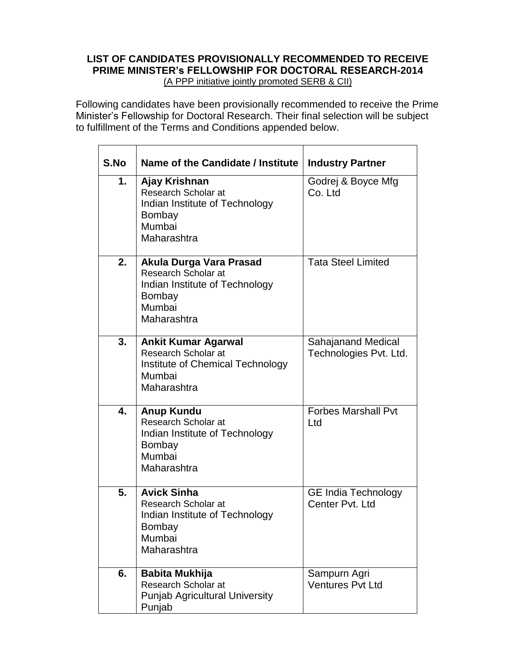# **LIST OF CANDIDATES PROVISIONALLY RECOMMENDED TO RECEIVE PRIME MINISTER's FELLOWSHIP FOR DOCTORAL RESEARCH-2014** (A PPP initiative jointly promoted SERB & CII)

Following candidates have been provisionally recommended to receive the Prime Minister's Fellowship for Doctoral Research. Their final selection will be subject to fulfillment of the Terms and Conditions appended below.

| S.No | Name of the Candidate / Institute                                                                                    | <b>Industry Partner</b>                       |
|------|----------------------------------------------------------------------------------------------------------------------|-----------------------------------------------|
| 1.   | Ajay Krishnan<br>Research Scholar at<br>Indian Institute of Technology<br><b>Bombay</b><br>Mumbai<br>Maharashtra     | Godrej & Boyce Mfg<br>Co. Ltd                 |
| 2.   | Akula Durga Vara Prasad<br>Research Scholar at<br>Indian Institute of Technology<br>Bombay<br>Mumbai<br>Maharashtra  | <b>Tata Steel Limited</b>                     |
| 3.   | <b>Ankit Kumar Agarwal</b><br>Research Scholar at<br>Institute of Chemical Technology<br>Mumbai<br>Maharashtra       | Sahajanand Medical<br>Technologies Pvt. Ltd.  |
| 4.   | <b>Anup Kundu</b><br>Research Scholar at<br>Indian Institute of Technology<br><b>Bombay</b><br>Mumbai<br>Maharashtra | <b>Forbes Marshall Pvt</b><br>Ltd             |
| 5.   | <b>Avick Sinha</b><br>Research Scholar at<br>Indian Institute of Technology<br>Bombay<br>Mumbai<br>Maharashtra       | <b>GE India Technology</b><br>Center Pvt. Ltd |
| 6.   | <b>Babita Mukhija</b><br>Research Scholar at<br><b>Punjab Agricultural University</b><br>Punjab                      | Sampurn Agri<br><b>Ventures Pvt Ltd</b>       |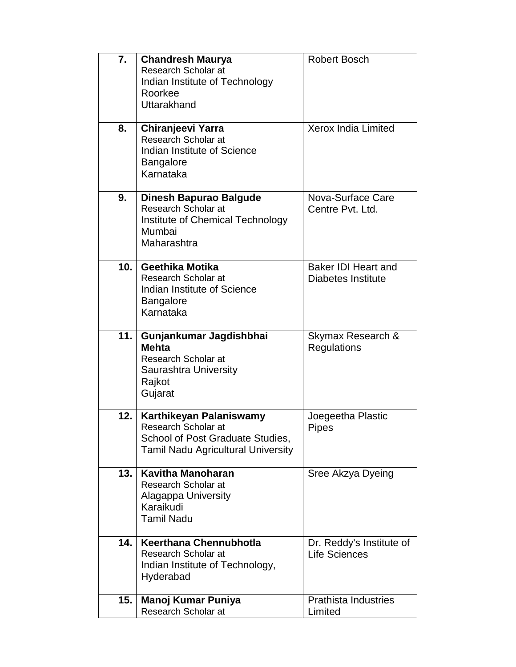| 7.  | <b>Chandresh Maurya</b><br>Research Scholar at<br>Indian Institute of Technology<br>Roorkee<br>Uttarakhand                      | <b>Robert Bosch</b>                                     |
|-----|---------------------------------------------------------------------------------------------------------------------------------|---------------------------------------------------------|
| 8.  | Chiranjeevi Yarra<br>Research Scholar at<br>Indian Institute of Science<br><b>Bangalore</b><br>Karnataka                        | <b>Xerox India Limited</b>                              |
| 9.  | <b>Dinesh Bapurao Balgude</b><br>Research Scholar at<br>Institute of Chemical Technology<br>Mumbai<br>Maharashtra               | Nova-Surface Care<br>Centre Pyt. Ltd.                   |
| 10. | Geethika Motika<br>Research Scholar at<br>Indian Institute of Science<br><b>Bangalore</b><br>Karnataka                          | <b>Baker IDI Heart and</b><br><b>Diabetes Institute</b> |
| 11. | Gunjankumar Jagdishbhai<br><b>Mehta</b><br><b>Research Scholar at</b><br>Saurashtra University<br>Rajkot<br>Gujarat             | Skymax Research &<br>Regulations                        |
| 12. | Karthikeyan Palaniswamy<br>Research Scholar at<br>School of Post Graduate Studies,<br><b>Tamil Nadu Agricultural University</b> | Joegeetha Plastic<br>Pipes                              |
| 13. | <b>Kavitha Manoharan</b><br>Research Scholar at<br>Alagappa University<br>Karaikudi<br><b>Tamil Nadu</b>                        | Sree Akzya Dyeing                                       |
| 14. | Keerthana Chennubhotla<br>Research Scholar at<br>Indian Institute of Technology,<br>Hyderabad                                   | Dr. Reddy's Institute of<br><b>Life Sciences</b>        |
| 15. | <b>Manoj Kumar Puniya</b><br><b>Research Scholar at</b>                                                                         | <b>Prathista Industries</b><br>Limited                  |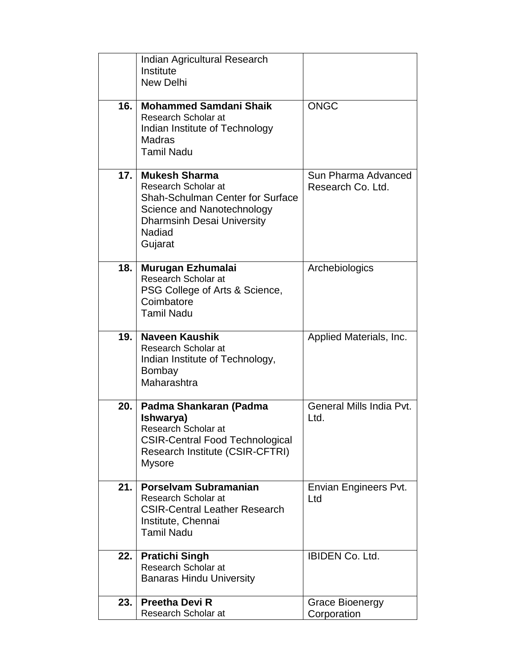|     | Indian Agricultural Research                                                                                                                                                          |                                          |
|-----|---------------------------------------------------------------------------------------------------------------------------------------------------------------------------------------|------------------------------------------|
|     | Institute<br><b>New Delhi</b>                                                                                                                                                         |                                          |
|     |                                                                                                                                                                                       |                                          |
| 16. | <b>Mohammed Samdani Shaik</b><br>Research Scholar at<br>Indian Institute of Technology<br><b>Madras</b><br><b>Tamil Nadu</b>                                                          | <b>ONGC</b>                              |
| 17. | <b>Mukesh Sharma</b><br>Research Scholar at<br><b>Shah-Schulman Center for Surface</b><br>Science and Nanotechnology<br><b>Dharmsinh Desai University</b><br><b>Nadiad</b><br>Gujarat | Sun Pharma Advanced<br>Research Co. Ltd. |
| 18. | Murugan Ezhumalai<br>Research Scholar at<br>PSG College of Arts & Science,<br>Coimbatore<br><b>Tamil Nadu</b>                                                                         | Archebiologics                           |
| 19. | <b>Naveen Kaushik</b><br>Research Scholar at<br>Indian Institute of Technology,<br><b>Bombay</b><br>Maharashtra                                                                       | Applied Materials, Inc.                  |
| 20. | Padma Shankaran (Padma<br>Ishwarya)<br>Research Scholar at<br><b>CSIR-Central Food Technological</b><br>Research Institute (CSIR-CFTRI)<br><b>Mysore</b>                              | General Mills India Pvt.<br>Ltd.         |
| 21. | <b>Porselvam Subramanian</b><br>Research Scholar at<br><b>CSIR-Central Leather Research</b><br>Institute, Chennai<br><b>Tamil Nadu</b>                                                | Envian Engineers Pvt.<br>Ltd             |
| 22. | <b>Pratichi Singh</b><br>Research Scholar at<br><b>Banaras Hindu University</b>                                                                                                       | <b>IBIDEN Co. Ltd.</b>                   |
| 23. | <b>Preetha Devi R</b><br>Research Scholar at                                                                                                                                          | <b>Grace Bioenergy</b><br>Corporation    |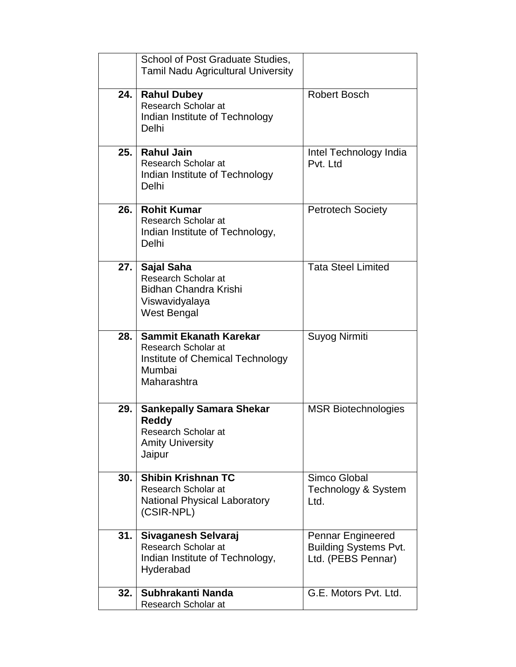| 32.  | Subhrakanti Nanda<br>Research Scholar at                                                                         | G.E. Motors Pvt. Ltd.                                                          |
|------|------------------------------------------------------------------------------------------------------------------|--------------------------------------------------------------------------------|
| 31.  | Sivaganesh Selvaraj<br>Research Scholar at<br>Indian Institute of Technology,<br>Hyderabad                       | <b>Pennar Engineered</b><br><b>Building Systems Pvt.</b><br>Ltd. (PEBS Pennar) |
| 30.  | <b>Shibin Krishnan TC</b><br>Research Scholar at<br><b>National Physical Laboratory</b><br>(CSIR-NPL)            | Simco Global<br>Technology & System<br>Ltd.                                    |
| 29.  | <b>Sankepally Samara Shekar</b><br><b>Reddy</b><br>Research Scholar at<br><b>Amity University</b><br>Jaipur      | <b>MSR Biotechnologies</b>                                                     |
| 28.  | Sammit Ekanath Karekar<br>Research Scholar at<br>Institute of Chemical Technology<br>Mumbai<br>Maharashtra       | Suyog Nirmiti                                                                  |
| 27.1 | <b>Sajal Saha</b><br>Research Scholar at<br><b>Bidhan Chandra Krishi</b><br>Viswavidyalaya<br><b>West Bengal</b> | Tata Steel Limited                                                             |
| 26.  | <b>Rohit Kumar</b><br>Research Scholar at<br>Indian Institute of Technology,<br>Delhi                            | <b>Petrotech Society</b>                                                       |
| 25.  | <b>Rahul Jain</b><br>Research Scholar at<br>Indian Institute of Technology<br>Delhi                              | Intel Technology India<br>Pvt. Ltd                                             |
| 24.  | <b>Rahul Dubey</b><br>Research Scholar at<br>Indian Institute of Technology<br>Delhi                             | <b>Robert Bosch</b>                                                            |
|      | School of Post Graduate Studies,<br>Tamil Nadu Agricultural University                                           |                                                                                |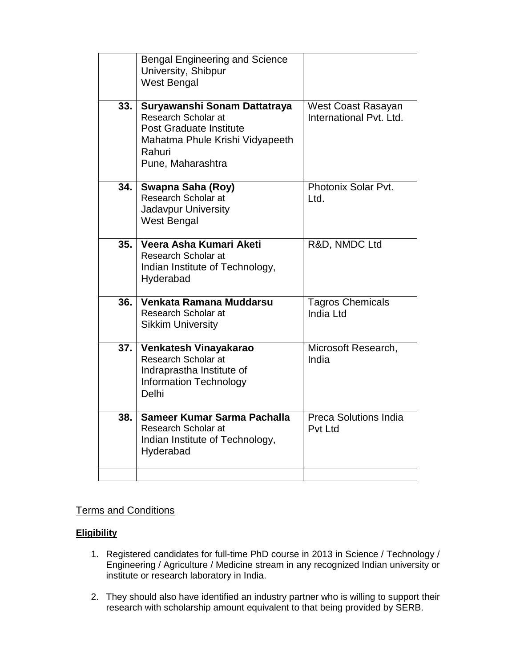|     | <b>Bengal Engineering and Science</b><br>University, Shibpur<br><b>West Bengal</b>                                                                      |                                               |
|-----|---------------------------------------------------------------------------------------------------------------------------------------------------------|-----------------------------------------------|
| 33. | Suryawanshi Sonam Dattatraya<br>Research Scholar at<br><b>Post Graduate Institute</b><br>Mahatma Phule Krishi Vidyapeeth<br>Rahuri<br>Pune, Maharashtra | West Coast Rasayan<br>International Pvt. Ltd. |
| 34. | Swapna Saha (Roy)<br>Research Scholar at<br>Jadavpur University<br>West Bengal                                                                          | Photonix Solar Pvt.<br>l td.                  |
| 35. | Veera Asha Kumari Aketi<br>Research Scholar at<br>Indian Institute of Technology,<br>Hyderabad                                                          | R&D, NMDC Ltd                                 |
| 36. | Venkata Ramana Muddarsu<br>Research Scholar at<br><b>Sikkim University</b>                                                                              | <b>Tagros Chemicals</b><br>India Ltd          |
| 37. | Venkatesh Vinayakarao<br>Research Scholar at<br>Indraprastha Institute of<br><b>Information Technology</b><br>Delhi                                     | Microsoft Research,<br>India                  |
| 38. | Sameer Kumar Sarma Pachalla<br>Research Scholar at<br>Indian Institute of Technology,<br>Hyderabad                                                      | Preca Solutions India<br>Pvt Ltd              |
|     |                                                                                                                                                         |                                               |

# Terms and Conditions

## **Eligibility**

- 1. Registered candidates for full-time PhD course in 2013 in Science / Technology / Engineering / Agriculture / Medicine stream in any recognized Indian university or institute or research laboratory in India.
- 2. They should also have identified an industry partner who is willing to support their research with scholarship amount equivalent to that being provided by SERB.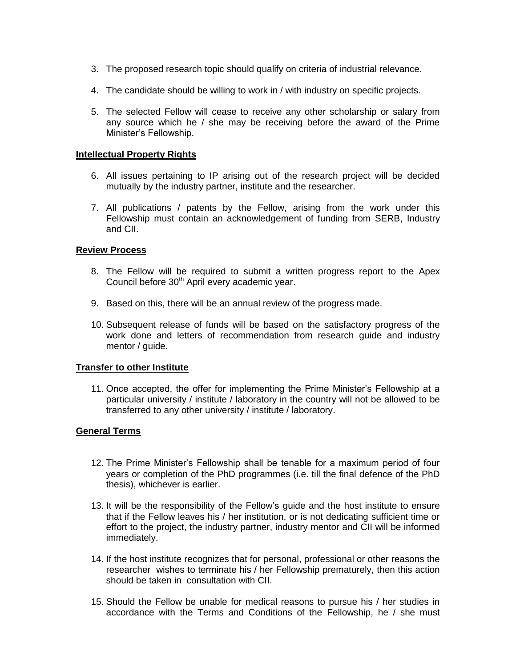- 3. The proposed research topic should qualify on criteria of industrial relevance.
- 4. The candidate should be willing to work in / with industry on specific projects.
- 5. The selected Fellow will cease to receive any other scholarship or salary from any source which he / she may be receiving before the award of the Prime Minister's Fellowship.

#### **Intellectual Property Rights**

- 6. All issues pertaining to IP arising out of the research project will be decided mutually by the industry partner, institute and the researcher.
- 7. All publications / patents by the Fellow, arising from the work under this Fellowship must contain an acknowledgement of funding from SERB, Industry and CII.

## **Review Process**

- 8. The Fellow will be required to submit a written progress report to the Apex Council before  $30<sup>th</sup>$  April every academic year.
- 9. Based on this, there will be an annual review of the progress made.
- 10. Subsequent release of funds will be based on the satisfactory progress of the work done and letters of recommendation from research guide and industry mentor / guide.

## **Transfer to other Institute**

11. Once accepted, the offer for implementing the Prime Minister's Fellowship at a particular university / institute / laboratory in the country will not be allowed to be transferred to any other university / institute / laboratory.

## **General Terms**

- 12. The Prime Minister's Fellowship shall be tenable for a maximum period of four years or completion of the PhD programmes (i.e. till the final defence of the PhD thesis), whichever is earlier.
- 13. It will be the responsibility of the Fellow's guide and the host institute to ensure that if the Fellow leaves his / her institution, or is not dedicating sufficient time or effort to the project, the industry partner, industry mentor and CII will be informed immediately.
- 14. If the host institute recognizes that for personal, professional or other reasons the researcher wishes to terminate his / her Fellowship prematurely, then this action should be taken in consultation with CII.
- 15. Should the Fellow be unable for medical reasons to pursue his / her studies in accordance with the Terms and Conditions of the Fellowship, he / she must